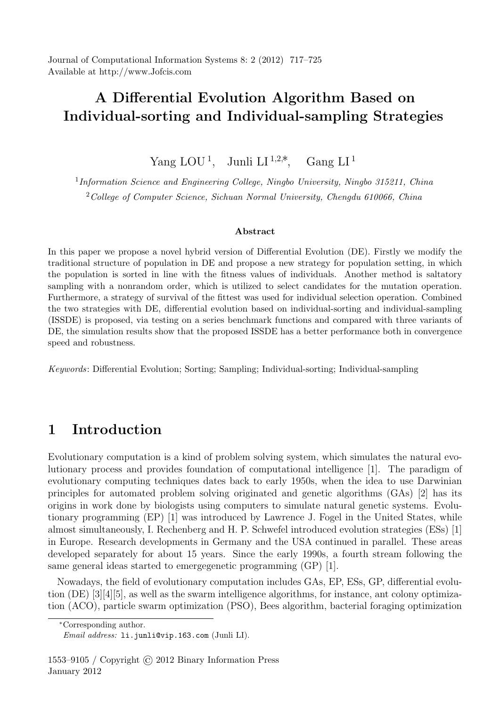Journal of Computational Information Systems 8: 2 (2012) 717–725 Available at http://www.Jofcis.com

## A Differential Evolution Algorithm Based on Individual-sorting and Individual-sampling Strategies

Yang LOU<sup>1</sup>, Junli LI<sup>1,2,\*</sup>, Gang LI<sup>1</sup>

<sup>1</sup>Information Science and Engineering College, Ningbo University, Ningbo 315211, China  $2^2$ College of Computer Science, Sichuan Normal University, Chengdu 610066, China

#### Abstract

In this paper we propose a novel hybrid version of Differential Evolution (DE). Firstly we modify the traditional structure of population in DE and propose a new strategy for population setting, in which the population is sorted in line with the fitness values of individuals. Another method is saltatory sampling with a nonrandom order, which is utilized to select candidates for the mutation operation. Furthermore, a strategy of survival of the fittest was used for individual selection operation. Combined the two strategies with DE, differential evolution based on individual-sorting and individual-sampling (ISSDE) is proposed, via testing on a series benchmark functions and compared with three variants of DE, the simulation results show that the proposed ISSDE has a better performance both in convergence speed and robustness.

Keywords: Differential Evolution; Sorting; Sampling; Individual-sorting; Individual-sampling

## 1 Introduction

Evolutionary computation is a kind of problem solving system, which simulates the natural evolutionary process and provides foundation of computational intelligence [1]. The paradigm of evolutionary computing techniques dates back to early 1950s, when the idea to use Darwinian principles for automated problem solving originated and genetic algorithms (GAs) [2] has its origins in work done by biologists using computers to simulate natural genetic systems. Evolutionary programming (EP) [1] was introduced by Lawrence J. Fogel in the United States, while almost simultaneously, I. Rechenberg and H. P. Schwefel introduced evolution strategies (ESs) [1] in Europe. Research developments in Germany and the USA continued in parallel. These areas developed separately for about 15 years. Since the early 1990s, a fourth stream following the same general ideas started to emergegenetic programming (GP) [1].

Nowadays, the field of evolutionary computation includes GAs, EP, ESs, GP, differential evolution (DE) [3][4][5], as well as the swarm intelligence algorithms, for instance, ant colony optimization (ACO), particle swarm optimization (PSO), Bees algorithm, bacterial foraging optimization

<sup>∗</sup>Corresponding author.

Email address: li.junli@vip.163.com (Junli LI).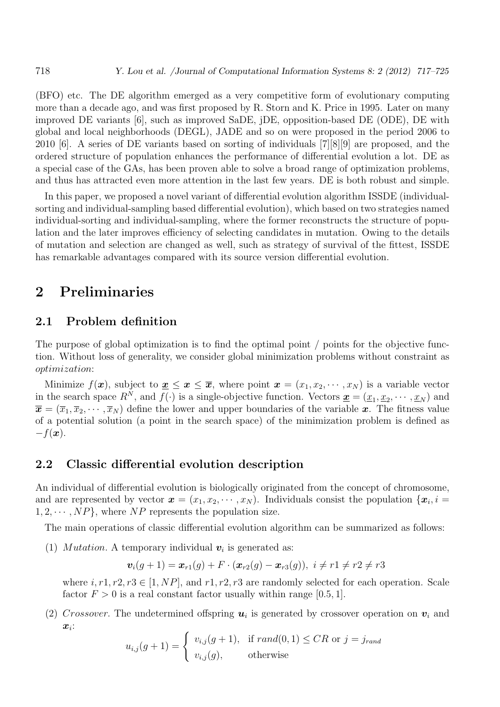(BFO) etc. The DE algorithm emerged as a very competitive form of evolutionary computing more than a decade ago, and was first proposed by R. Storn and K. Price in 1995. Later on many improved DE variants [6], such as improved SaDE, jDE, opposition-based DE (ODE), DE with global and local neighborhoods (DEGL), JADE and so on were proposed in the period 2006 to 2010 [6]. A series of DE variants based on sorting of individuals [7][8][9] are proposed, and the ordered structure of population enhances the performance of differential evolution a lot. DE as a special case of the GAs, has been proven able to solve a broad range of optimization problems, and thus has attracted even more attention in the last few years. DE is both robust and simple.

In this paper, we proposed a novel variant of differential evolution algorithm ISSDE (individualsorting and individual-sampling based differential evolution), which based on two strategies named individual-sorting and individual-sampling, where the former reconstructs the structure of population and the later improves efficiency of selecting candidates in mutation. Owing to the details of mutation and selection are changed as well, such as strategy of survival of the fittest, ISSDE has remarkable advantages compared with its source version differential evolution.

## 2 Preliminaries

#### 2.1 Problem definition

The purpose of global optimization is to find the optimal point / points for the objective function. Without loss of generality, we consider global minimization problems without constraint as optimization:

Minimize  $f(x)$ , subject to  $\underline{x} \leq x \leq \overline{x}$ , where point  $x = (x_1, x_2, \dots, x_N)$  is a variable vector in the search space  $R^N$ , and  $f(\cdot)$  is a single-objective function. Vectors  $\underline{\mathbf{x}} = (\underline{x}_1, \underline{x}_2, \cdots, \underline{x}_N)$  and  $\overline{\bm{x}} = (\overline{x}_1, \overline{x}_2, \cdots, \overline{x}_N)$  define the lower and upper boundaries of the variable  $\bm{x}$ . The fitness value of a potential solution (a point in the search space) of the minimization problem is defined as  $-f(\boldsymbol{x})$ .

#### 2.2 Classic differential evolution description

An individual of differential evolution is biologically originated from the concept of chromosome, and are represented by vector  $\boldsymbol{x} = (x_1, x_2, \cdots, x_N)$ . Individuals consist the population  $\{\boldsymbol{x}_i, i =$  $1, 2, \cdots, NP$ , where NP represents the population size.

The main operations of classic differential evolution algorithm can be summarized as follows:

(1) *Mutation*. A temporary individual  $v_i$  is generated as:

$$
\mathbf{v}_i(g+1) = \mathbf{x}_{r1}(g) + F \cdot (\mathbf{x}_{r2}(g) - \mathbf{x}_{r3}(g)), \ i \neq r1 \neq r2 \neq r3
$$

where  $i, r1, r2, r3 \in [1, NP]$ , and  $r1, r2, r3$  are randomly selected for each operation. Scale factor  $F > 0$  is a real constant factor usually within range [0.5, 1].

(2) Crossover. The undetermined offspring  $u_i$  is generated by crossover operation on  $v_i$  and  $\boldsymbol{x}_i$ :

$$
u_{i,j}(g+1) = \begin{cases} v_{i,j}(g+1), & \text{if } rand(0,1) \leq CR \text{ or } j = j_{rand} \\ v_{i,j}(g), & \text{otherwise} \end{cases}
$$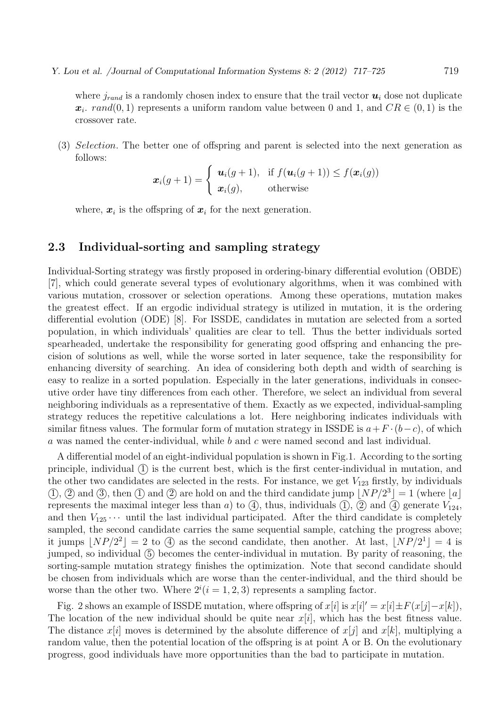where  $j_{rand}$  is a randomly chosen index to ensure that the trail vector  $u_i$  dose not duplicate  $x_i$ . rand(0, 1) represents a uniform random value between 0 and 1, and  $CR \in (0,1)$  is the crossover rate.

(3) Selection. The better one of offspring and parent is selected into the next generation as follows:

$$
\boldsymbol{x}_i(g+1) = \begin{cases} \boldsymbol{u}_i(g+1), & \text{if } f(\boldsymbol{u}_i(g+1)) \le f(\boldsymbol{x}_i(g)) \\ \boldsymbol{x}_i(g), & \text{otherwise} \end{cases}
$$

where,  $x_i$  is the offspring of  $x_i$  for the next generation.

#### 2.3 Individual-sorting and sampling strategy

Individual-Sorting strategy was firstly proposed in ordering-binary differential evolution (OBDE) [7], which could generate several types of evolutionary algorithms, when it was combined with various mutation, crossover or selection operations. Among these operations, mutation makes the greatest effect. If an ergodic individual strategy is utilized in mutation, it is the ordering differential evolution (ODE) [8]. For ISSDE, candidates in mutation are selected from a sorted population, in which individuals' qualities are clear to tell. Thus the better individuals sorted spearheaded, undertake the responsibility for generating good offspring and enhancing the precision of solutions as well, while the worse sorted in later sequence, take the responsibility for enhancing diversity of searching. An idea of considering both depth and width of searching is easy to realize in a sorted population. Especially in the later generations, individuals in consecutive order have tiny differences from each other. Therefore, we select an individual from several neighboring individuals as a representative of them. Exactly as we expected, individual-sampling strategy reduces the repetitive calculations a lot. Here neighboring indicates individuals with similar fitness values. The formular form of mutation strategy in ISSDE is  $a+F\cdot(b-c)$ , of which  $a$  was named the center-individual, while  $b$  and  $c$  were named second and last individual.

A differential model of an eight-individual population is shown in Fig.1. According to the sorting principle, individual  $(1)$  is the current best, which is the first center-individual in mutation, and the other two candidates are selected in the rests. For instance, we get  $V_{123}$  firstly, by individuals  $(1), (2)$  and  $(3),$  then  $(1)$  and  $(2)$  are hold on and the third candidate jump  $\lfloor NP/2^3 \rfloor = 1$  (where  $\lfloor a \rfloor$ ) represents the maximal integer less than a) to  $(4)$ , thus, individuals  $(1)$ ,  $(2)$  and  $(4)$  generate  $V_{124}$ , and then  $V_{125} \cdots$  until the last individual participated. After the third candidate is completely sampled, the second candidate carries the same sequential sample, catching the progress above; it jumps  $\lfloor NP/2^2 \rfloor = 2$  to  $\textcircled{4}$  as the second candidate, then another. At last,  $\lfloor NP/2^1 \rfloor = 4$  is jumped, so individual  $(5)$  becomes the center-individual in mutation. By parity of reasoning, the sorting-sample mutation strategy finishes the optimization. Note that second candidate should be chosen from individuals which are worse than the center-individual, and the third should be worse than the other two. Where  $2^{i}$  ( $i = 1, 2, 3$ ) represents a sampling factor.

Fig. 2 shows an example of ISSDE mutation, where offspring of  $x[i]$  is  $x[i]' = x[i] \pm F(x[j] - x[k])$ , The location of the new individual should be quite near  $x[i]$ , which has the best fitness value. The distance  $x[i]$  moves is determined by the absolute difference of  $x[i]$  and  $x[k]$ , multiplying a random value, then the potential location of the offspring is at point A or B. On the evolutionary progress, good individuals have more opportunities than the bad to participate in mutation.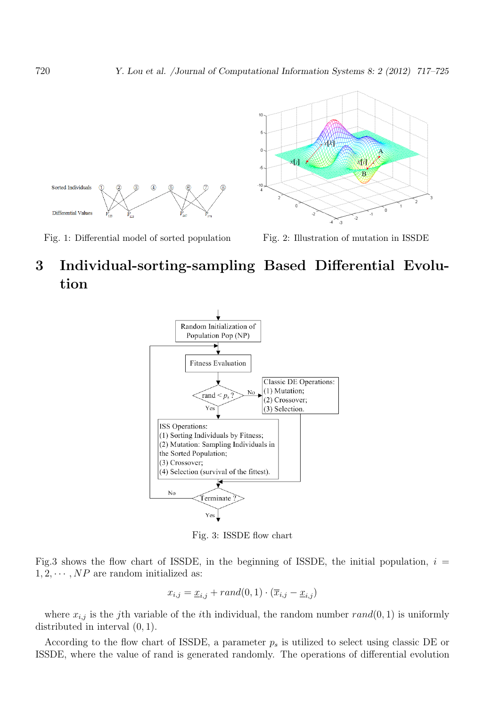

Fig. 1: Differential model of sorted population Fig. 2: Illustration of mutation in ISSDE

# 3 Individual-sorting-sampling Based Differential Evolution



Fig. 3: ISSDE flow chart

Fig.3 shows the flow chart of ISSDE, in the beginning of ISSDE, the initial population,  $i =$  $1, 2, \cdots, NP$  are random initialized as:

$$
x_{i,j} = \underline{x}_{i,j} + rand(0,1) \cdot (\overline{x}_{i,j} - \underline{x}_{i,j})
$$

where  $x_{i,j}$  is the j<sup>th</sup> variable of the *i*<sup>th</sup> individual, the random number  $rand(0, 1)$  is uniformly distributed in interval (0, 1).

According to the flow chart of ISSDE, a parameter  $p_s$  is utilized to select using classic DE or ISSDE, where the value of rand is generated randomly. The operations of differential evolution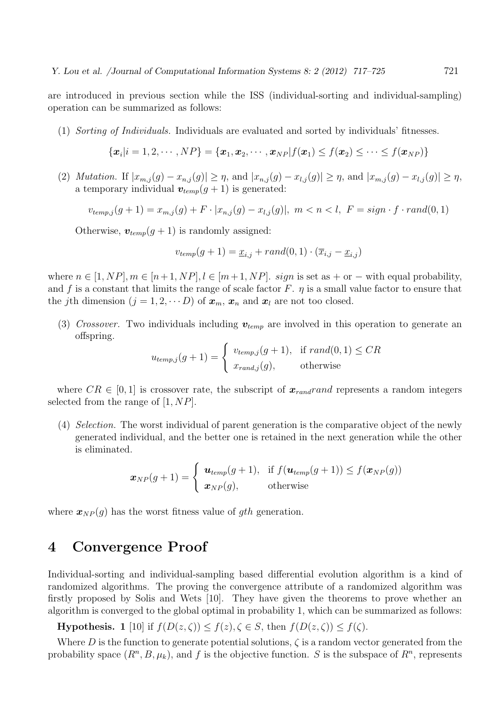are introduced in previous section while the ISS (individual-sorting and individual-sampling) operation can be summarized as follows:

(1) Sorting of Individuals. Individuals are evaluated and sorted by individuals' fitnesses.

$$
\{\boldsymbol{x}_i|i=1,2,\cdots,N\boldsymbol{P}\}=\{\boldsymbol{x}_1,\boldsymbol{x}_2,\cdots,\boldsymbol{x}_{NP}|f(\boldsymbol{x}_1)\leq f(\boldsymbol{x}_2)\leq\cdots\leq f(\boldsymbol{x}_{NP})\}
$$

(2) Mutation. If  $|x_{m,j}(g) - x_{n,j}(g)| \geq \eta$ , and  $|x_{n,j}(g) - x_{l,j}(g)| \geq \eta$ , and  $|x_{m,j}(g) - x_{l,j}(g)| \geq \eta$ , a temporary individual  $v_{temp}(g + 1)$  is generated:

$$
v_{temp,j}(g+1) = x_{m,j}(g) + F \cdot |x_{n,j}(g) - x_{l,j}(g)|, \ m < n < l, \ F = sign \cdot f \cdot rand(0,1)
$$

Otherwise,  $\mathbf{v}_{temp}(g+1)$  is randomly assigned:

$$
v_{temp}(g+1) = \underline{x}_{i,j} + rand(0,1) \cdot (\overline{x}_{i,j} - \underline{x}_{i,j})
$$

where  $n \in [1, NP], m \in [n+1, NP], l \in [m+1, NP]$ . sign is set as + or - with equal probability, and f is a constant that limits the range of scale factor F.  $\eta$  is a small value factor to ensure that the jth dimension  $(j = 1, 2, \cdots D)$  of  $x_m$ ,  $x_n$  and  $x_l$  are not too closed.

(3) Crossover. Two individuals including  $v_{temp}$  are involved in this operation to generate an offspring.

$$
u_{temp,j}(g+1) = \begin{cases} v_{temp,j}(g+1), & \text{if } rand(0,1) \leq CR \\ x_{rand,j}(g), & \text{otherwise} \end{cases}
$$

where  $CR \in [0, 1]$  is crossover rate, the subscript of  $x_{rand}$  rand represents a random integers selected from the range of  $[1, NP]$ .

(4) Selection. The worst individual of parent generation is the comparative object of the newly generated individual, and the better one is retained in the next generation while the other is eliminated.

$$
\boldsymbol{x}_{NP}(g+1) = \begin{cases} \boldsymbol{u}_{temp}(g+1), & \text{if } f(\boldsymbol{u}_{temp}(g+1)) \le f(\boldsymbol{x}_{NP}(g)) \\ \boldsymbol{x}_{NP}(g), & \text{otherwise} \end{cases}
$$

where  $\mathbf{x}_{NP}(q)$  has the worst fitness value of gth generation.

### 4 Convergence Proof

Individual-sorting and individual-sampling based differential evolution algorithm is a kind of randomized algorithms. The proving the convergence attribute of a randomized algorithm was firstly proposed by Solis and Wets [10]. They have given the theorems to prove whether an algorithm is converged to the global optimal in probability 1, which can be summarized as follows:

**Hypothesis.** 1 [10] if  $f(D(z,\zeta)) \leq f(z), \zeta \in S$ , then  $f(D(z,\zeta)) \leq f(\zeta)$ .

Where D is the function to generate potential solutions,  $\zeta$  is a random vector generated from the probability space  $(R^n, B, \mu_k)$ , and f is the objective function. S is the subspace of  $R^n$ , represents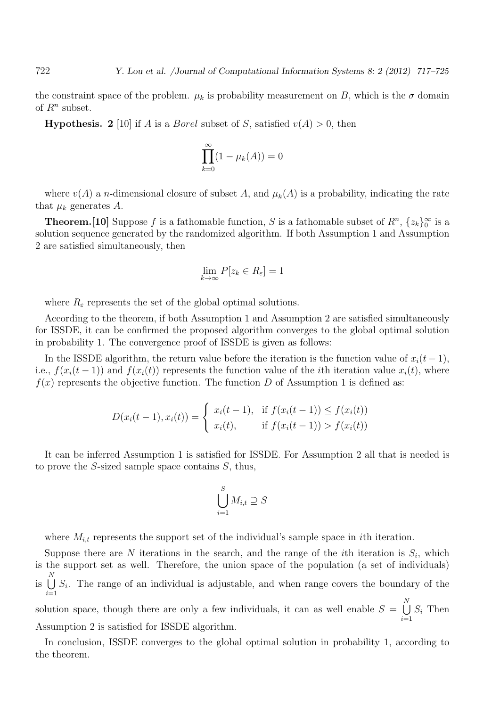the constraint space of the problem.  $\mu_k$  is probability measurement on B, which is the  $\sigma$  domain of  $R^n$  subset.

**Hypothesis.** 2 [10] if A is a *Borel* subset of S, satisfied  $v(A) > 0$ , then

$$
\prod_{k=0}^{\infty} (1 - \mu_k(A)) = 0
$$

where  $v(A)$  a *n*-dimensional closure of subset A, and  $\mu_k(A)$  is a probability, indicating the rate that  $\mu_k$  generates A.

**Theorem.** [10] Suppose f is a fathomable function, S is a fathomable subset of  $R^n$ ,  $\{z_k\}_0^\infty$  is a solution sequence generated by the randomized algorithm. If both Assumption 1 and Assumption 2 are satisfied simultaneously, then

$$
\lim_{k \to \infty} P[z_k \in R_{\varepsilon}] = 1
$$

where  $R_{\varepsilon}$  represents the set of the global optimal solutions.

According to the theorem, if both Assumption 1 and Assumption 2 are satisfied simultaneously for ISSDE, it can be confirmed the proposed algorithm converges to the global optimal solution in probability 1. The convergence proof of ISSDE is given as follows:

In the ISSDE algorithm, the return value before the iteration is the function value of  $x_i(t-1)$ , i.e.,  $f(x_i(t-1))$  and  $f(x_i(t))$  represents the function value of the *i*th iteration value  $x_i(t)$ , where  $f(x)$  represents the objective function. The function D of Assumption 1 is defined as:

$$
D(x_i(t-1), x_i(t)) = \begin{cases} x_i(t-1), & \text{if } f(x_i(t-1)) \le f(x_i(t)) \\ x_i(t), & \text{if } f(x_i(t-1)) > f(x_i(t)) \end{cases}
$$

It can be inferred Assumption 1 is satisfied for ISSDE. For Assumption 2 all that is needed is to prove the S-sized sample space contains S, thus,

$$
\bigcup_{i=1}^{S} M_{i,t} \supseteq S
$$

where  $M_{i,t}$  represents the support set of the individual's sample space in *i*th iteration.

Suppose there are N iterations in the search, and the range of the *i*th iteration is  $S_i$ , which is the support set as well. Therefore, the union space of the population (a set of individuals) is  $\bigcup^N$  $i=1$  $S_i$ . The range of an individual is adjustable, and when range covers the boundary of the

solution space, though there are only a few individuals, it can as well enable  $S = \bigcup_{i=1}^{N} S_i$  $i=1$  $S_i$  Then Assumption 2 is satisfied for ISSDE algorithm.

In conclusion, ISSDE converges to the global optimal solution in probability 1, according to the theorem.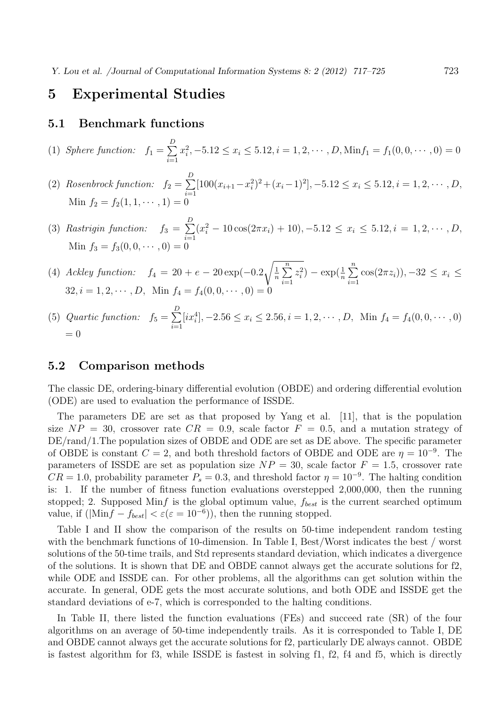### 5 Experimental Studies

#### 5.1 Benchmark functions

(1) *Sphere function:* 
$$
f_1 = \sum_{i=1}^{D} x_i^2, -5.12 \le x_i \le 5.12, i = 1, 2, \cdots, D, \text{Min} f_1 = f_1(0, 0, \cdots, 0) = 0
$$

- (2) Rosenbrock function:  $f_2 = \sum_{n=1}^{D}$  $i=1$  $[100(x_{i+1}-x_i^2)^2+(x_i-1)^2], -5.12 \le x_i \le 5.12, i=1,2,\cdots,D,$ Min  $f_2 = f_2(1, 1, \dots, 1) = 0$
- (3) Rastrigin function:  $f_3 = \sum_{ }^D$  $i=1$  $(x_i^2 - 10\cos(2\pi x_i) + 10), -5.12 \le x_i \le 5.12, i = 1, 2, \cdots, D,$ Min  $f_3 = f_3(0, 0, \dots, 0) = 0$
- (4) Ackley function:  $f_4 = 20 + e 20 \exp(-0.2 \sqrt{\frac{1}{n}})$  $\frac{1}{n}$  $\sum_{n=1}^{\infty}$  $i=1$  $\overline{z_i^2}$ ) – exp $\left(\frac{1}{n}\sum_{i=1}^n\right)$  $i=1$  $cos(2\pi z_i))$ ,  $-32 \leq x_i \leq$  $32, i = 1, 2, \cdots, D,$  Min  $f_4 = f_4(0, 0, \cdots, 0) = 0$
- (5) Quartic function:  $f_5 = \sum_{ }^D$  $i=1$  $[i\mathbf{x}_i^4]$ ,  $-2.56 \leq x_i \leq 2.56$ ,  $i = 1, 2, \cdots, D$ , Min  $f_4 = f_4(0, 0, \cdots, 0)$  $= 0$

#### 5.2 Comparison methods

The classic DE, ordering-binary differential evolution (OBDE) and ordering differential evolution (ODE) are used to evaluation the performance of ISSDE.

The parameters DE are set as that proposed by Yang et al. [11], that is the population size  $NP = 30$ , crossover rate  $CR = 0.9$ , scale factor  $F = 0.5$ , and a mutation strategy of DE/rand/1.The population sizes of OBDE and ODE are set as DE above. The specific parameter of OBDE is constant  $C = 2$ , and both threshold factors of OBDE and ODE are  $\eta = 10^{-9}$ . The parameters of ISSDE are set as population size  $NP = 30$ , scale factor  $F = 1.5$ , crossover rate  $CR = 1.0$ , probability parameter  $P_s = 0.3$ , and threshold factor  $\eta = 10^{-9}$ . The halting condition is: 1. If the number of fitness function evaluations overstepped 2,000,000, then the running stopped; 2. Supposed Minf is the global optimum value,  $f_{best}$  is the current searched optimum value, if  $(|\text{Min}f - f_{best}| < \varepsilon (\varepsilon = 10^{-6}))$ , then the running stopped.

Table I and II show the comparison of the results on 50-time independent random testing with the benchmark functions of 10-dimension. In Table I, Best/Worst indicates the best / worst solutions of the 50-time trails, and Std represents standard deviation, which indicates a divergence of the solutions. It is shown that DE and OBDE cannot always get the accurate solutions for f2, while ODE and ISSDE can. For other problems, all the algorithms can get solution within the accurate. In general, ODE gets the most accurate solutions, and both ODE and ISSDE get the standard deviations of e-7, which is corresponded to the halting conditions.

In Table II, there listed the function evaluations (FEs) and succeed rate (SR) of the four algorithms on an average of 50-time independently trails. As it is corresponded to Table I, DE and OBDE cannot always get the accurate solutions for f2, particularly DE always cannot. OBDE is fastest algorithm for f3, while ISSDE is fastest in solving f1, f2, f4 and f5, which is directly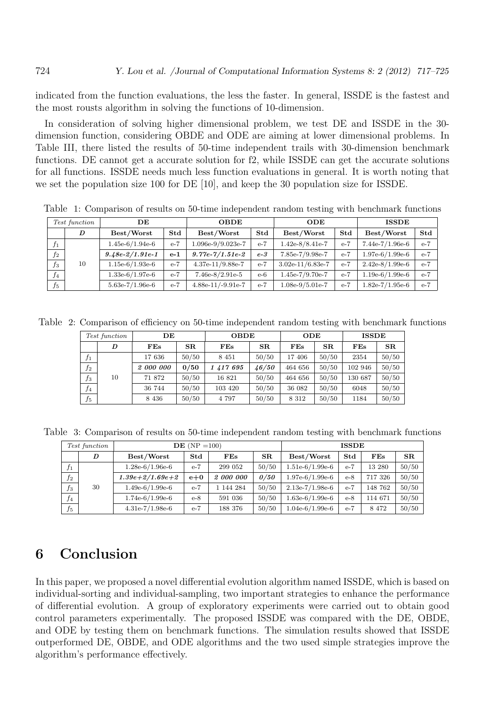indicated from the function evaluations, the less the faster. In general, ISSDE is the fastest and the most rousts algorithm in solving the functions of 10-dimension.

In consideration of solving higher dimensional problem, we test DE and ISSDE in the 30 dimension function, considering OBDE and ODE are aiming at lower dimensional problems. In Table III, there listed the results of 50-time independent trails with 30-dimension benchmark functions. DE cannot get a accurate solution for f2, while ISSDE can get the accurate solutions for all functions. ISSDE needs much less function evaluations in general. It is worth noting that we set the population size 100 for DE [10], and keep the 30 population size for ISSDE.

| Test function  |    | DЕ                |       | <b>OBDE</b>         |       | <b>ODE</b>         |       | <b>ISSDE</b>      |       |
|----------------|----|-------------------|-------|---------------------|-------|--------------------|-------|-------------------|-------|
|                | D  | Best/Worst        | Std   | Best/Worst          | Std   | Best/Worst         | Std   | Best/Worst        | Std   |
| $f_1$          |    | $1.45e-6/1.94e-6$ | $e-7$ | 1.096e-9/9.023e-7   | $e-7$ | $1.42e-8/8.41e-7$  | $e-7$ | $7.44e-7/1.96e-6$ | $e-7$ |
| f <sub>2</sub> |    | $9.48e-2/1.91e-1$ | $e-1$ | $9.77e-7/1.51e-2$   | $e-3$ | 7.85e-7/9.98e-7    | $e-7$ | $1.97e-6/1.99e-6$ | $e-7$ |
| $f_3$          | 10 | $1.15e-6/1.93e-6$ | $e-7$ | $4.37e-11/9.88e-7$  | $e-7$ | $3.02e-11/6.83e-7$ | $e-7$ | $2.42e-8/1.99e-6$ | $e-7$ |
| $f_4$          |    | $1.33e-6/1.97e-6$ | $e-7$ | $7.46e-8/2.91e-5$   | $e-6$ | $1.45e-7/9.70e-7$  | $e-7$ | $1.19e-6/1.99e-6$ | $e-7$ |
| $f_5$          |    | $5.63e-7/1.96e-6$ | $e-7$ | $4.88e-11/-9.91e-7$ | $e-7$ | $1.08e-9/5.01e-7$  | $e-7$ | $1.82e-7/1.95e-6$ | $e-7$ |

Table 1: Comparison of results on 50-time independent random testing with benchmark functions

Table 2: Comparison of efficiency on 50-time independent random testing with benchmark functions

| Test function    |    | DЕ      |             | <b>OBDE</b> |             | <b>ODE</b> |             | <b>ISSDE</b> |             |
|------------------|----|---------|-------------|-------------|-------------|------------|-------------|--------------|-------------|
|                  | D  | FEs     | $_{\rm SR}$ | FEs         | $_{\rm SR}$ | FEs        | $_{\rm SR}$ | FEs          | $_{\rm SR}$ |
| $f_1$            |    | 17636   | 50/50       | 8 4 5 1     | 50/50       | 17 406     | 50/50       | 2354         | 50/50       |
| $f_2$            |    | 2000000 | 0/50        | 1 417 695   | 46/50       | 464 656    | 50/50       | 102 946      | 50/50       |
| $f_3$            | 10 | 71 872  | 50/50       | 16 821      | 50/50       | 464 656    | 50/50       | 130 687      | 50/50       |
| $\mathfrak{f}_4$ |    | 36 744  | 50/50       | 103 420     | 50/50       | 36 082     | 50/50       | 6048         | 50/50       |
| $f_5$            |    | 8 4 3 6 | 50/50       | 4 797       | 50/50       | 8 3 1 2    | 50/50       | 1184         | 50/50       |

Table 3: Comparison of results on 50-time independent random testing with benchmark functions

| Test function  |    | $DE(NP = 100)$        | <b>ISSDE</b> |           |             |                   |       |         |       |
|----------------|----|-----------------------|--------------|-----------|-------------|-------------------|-------|---------|-------|
|                | D  | Best/Worst            | Std          | FEs       | $_{\rm SR}$ | Best/Worst        | Std   | FEs     | SR    |
| $f_1$          |    | $1.28e-6/1.96e-6$     | $e-7$        | 299 052   | 50/50       | $1.51e-6/1.99e-6$ | $e-7$ | 13 280  | 50/50 |
| f <sub>2</sub> |    | $1.39e + 2/1.69e + 2$ | $e+0$        | 2000000   | 0/50        | $1.97e-6/1.99e-6$ | $e-8$ | 717 326 | 50/50 |
| $f_3$          | 30 | $1.49e-6/1.99e-6$     | $e-7$        | 1 144 284 | 50/50       | $2.13e-7/1.98e-6$ | $e-7$ | 148 762 | 50/50 |
| $f_4$          |    | $1.74e-6/1.99e-6$     | $e-8$        | 591 036   | 50/50       | $1.63e-6/1.99e-6$ | $e-8$ | 114 671 | 50/50 |
| $f_5$          |    | $4.31e-7/1.98e-6$     | $e-7$        | 188 376   | 50/50       | $1.04e-6/1.99e-6$ | $e-7$ | 8 4 7 2 | 50/50 |

## 6 Conclusion

In this paper, we proposed a novel differential evolution algorithm named ISSDE, which is based on individual-sorting and individual-sampling, two important strategies to enhance the performance of differential evolution. A group of exploratory experiments were carried out to obtain good control parameters experimentally. The proposed ISSDE was compared with the DE, OBDE, and ODE by testing them on benchmark functions. The simulation results showed that ISSDE outperformed DE, OBDE, and ODE algorithms and the two used simple strategies improve the algorithm's performance effectively.